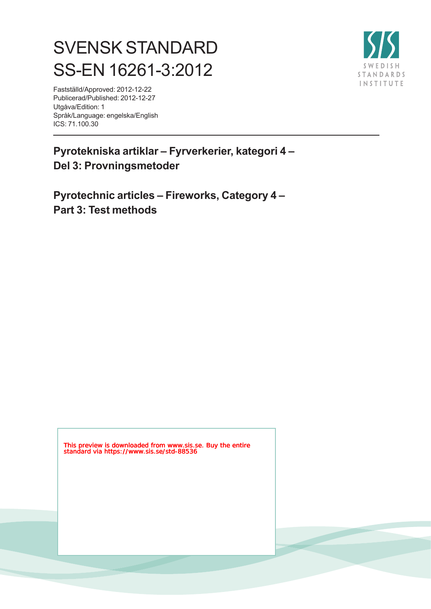# SVENSK STANDARD SS-EN 16261-3:2012

Fastställd/Approved: 2012-12-22 Publicerad/Published: 2012-12-27 Utgåva/Edition: 1 Språk/Language: engelska/English ICS: 71.100.30



**Pyrotekniska artiklar – Fyrverkerier, kategori 4 – Del 3: Provningsmetoder**

**Pyrotechnic articles – Fireworks, Category 4 – Part 3: Test methods**

This preview is downloaded from www.sis.se. Buy the entire standard via https://www.sis.se/std-88536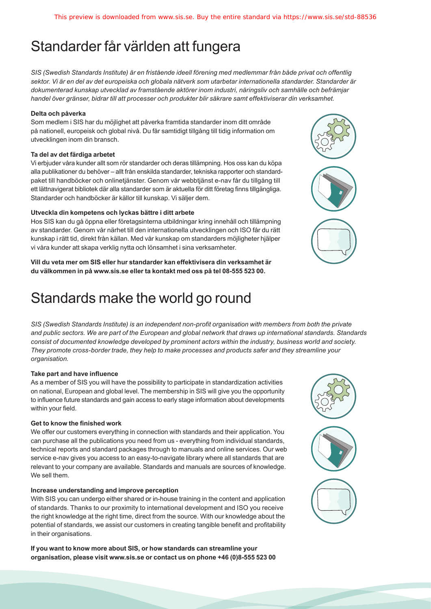## Standarder får världen att fungera

*SIS (Swedish Standards Institute) är en fristående ideell förening med medlemmar från både privat och offentlig sektor. Vi är en del av det europeiska och globala nätverk som utarbetar internationella standarder. Standarder är dokumenterad kunskap utvecklad av framstående aktörer inom industri, näringsliv och samhälle och befrämjar handel över gränser, bidrar till att processer och produkter blir säkrare samt effektiviserar din verksamhet.* 

#### **Delta och påverka**

Som medlem i SIS har du möjlighet att påverka framtida standarder inom ditt område på nationell, europeisk och global nivå. Du får samtidigt tillgång till tidig information om utvecklingen inom din bransch.

### **Ta del av det färdiga arbetet**

Vi erbjuder våra kunder allt som rör standarder och deras tillämpning. Hos oss kan du köpa alla publikationer du behöver – allt från enskilda standarder, tekniska rapporter och standardpaket till handböcker och onlinetjänster. Genom vår webbtjänst e-nav får du tillgång till ett lättnavigerat bibliotek där alla standarder som är aktuella för ditt företag finns tillgängliga. Standarder och handböcker är källor till kunskap. Vi säljer dem.

### **Utveckla din kompetens och lyckas bättre i ditt arbete**

Hos SIS kan du gå öppna eller företagsinterna utbildningar kring innehåll och tillämpning av standarder. Genom vår närhet till den internationella utvecklingen och ISO får du rätt kunskap i rätt tid, direkt från källan. Med vår kunskap om standarders möjligheter hjälper vi våra kunder att skapa verklig nytta och lönsamhet i sina verksamheter.

**Vill du veta mer om SIS eller hur standarder kan effektivisera din verksamhet är du välkommen in på www.sis.se eller ta kontakt med oss på tel 08-555 523 00.**

## Standards make the world go round

*SIS (Swedish Standards Institute) is an independent non-profit organisation with members from both the private and public sectors. We are part of the European and global network that draws up international standards. Standards consist of documented knowledge developed by prominent actors within the industry, business world and society. They promote cross-border trade, they help to make processes and products safer and they streamline your organisation.*

### **Take part and have influence**

As a member of SIS you will have the possibility to participate in standardization activities on national, European and global level. The membership in SIS will give you the opportunity to influence future standards and gain access to early stage information about developments within your field.

#### **Get to know the finished work**

We offer our customers everything in connection with standards and their application. You can purchase all the publications you need from us - everything from individual standards, technical reports and standard packages through to manuals and online services. Our web service e-nav gives you access to an easy-to-navigate library where all standards that are relevant to your company are available. Standards and manuals are sources of knowledge. We sell them.

#### **Increase understanding and improve perception**

With SIS you can undergo either shared or in-house training in the content and application of standards. Thanks to our proximity to international development and ISO you receive the right knowledge at the right time, direct from the source. With our knowledge about the potential of standards, we assist our customers in creating tangible benefit and profitability in their organisations.

**If you want to know more about SIS, or how standards can streamline your organisation, please visit www.sis.se or contact us on phone +46 (0)8-555 523 00**



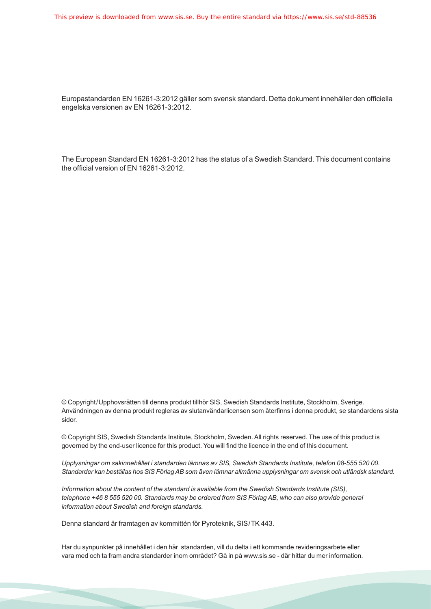Europastandarden EN 16261-3:2012 gäller som svensk standard. Detta dokument innehåller den officiella engelska versionen av EN 16261-3:2012.

The European Standard EN 16261-3:2012 has the status of a Swedish Standard. This document contains the official version of EN 16261-3:2012.

© Copyright / Upphovsrätten till denna produkt tillhör SIS, Swedish Standards Institute, Stockholm, Sverige. Användningen av denna produkt regleras av slutanvändarlicensen som återfinns i denna produkt, se standardens sista sidor.

© Copyright SIS, Swedish Standards Institute, Stockholm, Sweden. All rights reserved. The use of this product is governed by the end-user licence for this product. You will find the licence in the end of this document.

*Upplysningar om sakinnehållet i standarden lämnas av SIS, Swedish Standards Institute, telefon 08-555 520 00. Standarder kan beställas hos SIS Förlag AB som även lämnar allmänna upplysningar om svensk och utländsk standard.*

*Information about the content of the standard is available from the Swedish Standards Institute (SIS), telephone +46 8 555 520 00. Standards may be ordered from SIS Förlag AB, who can also provide general information about Swedish and foreign standards.*

Denna standard är framtagen av kommittén för Pyroteknik, SIS / TK 443.

Har du synpunkter på innehållet i den här standarden, vill du delta i ett kommande revideringsarbete eller vara med och ta fram andra standarder inom området? Gå in på www.sis.se - där hittar du mer information.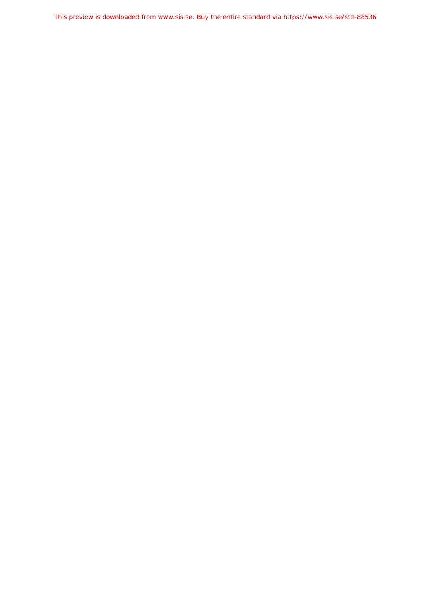This preview is downloaded from www.sis.se. Buy the entire standard via https://www.sis.se/std-88536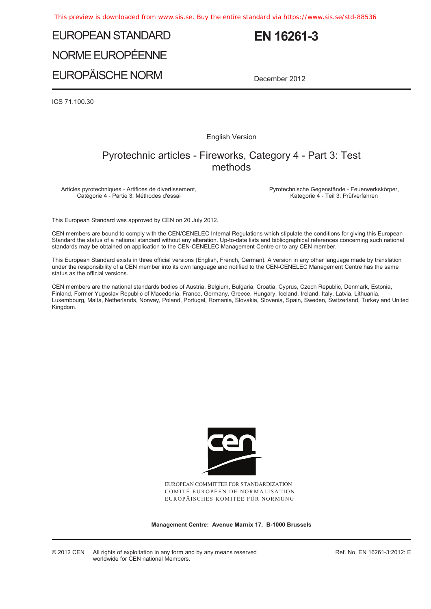## EUROPEAN STANDARD NORME EUROPÉENNE EUROPÄISCHE NORM

## **EN 16261-3**

December 2012

ICS 71.100.30

English Version

## Pyrotechnic articles - Fireworks, Category 4 - Part 3: Test methods

Articles pyrotechniques - Artifices de divertissement, Catégorie 4 - Partie 3: Méthodes d'essai

Pyrotechnische Gegenstände - Feuerwerkskörper, Kategorie 4 - Teil 3: Prüfverfahren

This European Standard was approved by CEN on 20 July 2012.

CEN members are bound to comply with the CEN/CENELEC Internal Regulations which stipulate the conditions for giving this European Standard the status of a national standard without any alteration. Up-to-date lists and bibliographical references concerning such national standards may be obtained on application to the CEN-CENELEC Management Centre or to any CEN member.

This European Standard exists in three official versions (English, French, German). A version in any other language made by translation under the responsibility of a CEN member into its own language and notified to the CEN-CENELEC Management Centre has the same status as the official versions.

CEN members are the national standards bodies of Austria, Belgium, Bulgaria, Croatia, Cyprus, Czech Republic, Denmark, Estonia, Finland, Former Yugoslav Republic of Macedonia, France, Germany, Greece, Hungary, Iceland, Ireland, Italy, Latvia, Lithuania, Luxembourg, Malta, Netherlands, Norway, Poland, Portugal, Romania, Slovakia, Slovenia, Spain, Sweden, Switzerland, Turkey and United Kingdom.



EUROPEAN COMMITTEE FOR STANDARDIZATION COMITÉ EUROPÉEN DE NORMALISATION EUROPÄISCHES KOMITEE FÜR NORMUNG

**Management Centre: Avenue Marnix 17, B-1000 Brussels**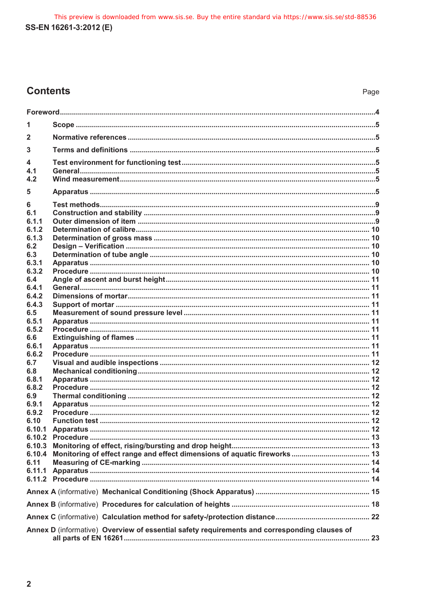This preview is downloaded from www.sis.se. Buy the entire standard via https://www.sis.se/std-88536 SS-EN 16261-3:2012 (E)

## **Contents**

| 1            |                                                                                              |  |  |
|--------------|----------------------------------------------------------------------------------------------|--|--|
| $\mathbf{2}$ |                                                                                              |  |  |
| 3            |                                                                                              |  |  |
| 4            |                                                                                              |  |  |
| 4.1          |                                                                                              |  |  |
| 4.2          |                                                                                              |  |  |
| 5            |                                                                                              |  |  |
| 6            |                                                                                              |  |  |
| 6.1          |                                                                                              |  |  |
| 6.1.1        |                                                                                              |  |  |
| 6.1.2        |                                                                                              |  |  |
| 6.1.3        |                                                                                              |  |  |
| 6.2          |                                                                                              |  |  |
| 6.3          |                                                                                              |  |  |
| 6.3.1        |                                                                                              |  |  |
| 6.3.2        |                                                                                              |  |  |
| 6.4<br>6.4.1 |                                                                                              |  |  |
| 642          |                                                                                              |  |  |
| 6.4.3        |                                                                                              |  |  |
| 6.5          |                                                                                              |  |  |
| 6.5.1        |                                                                                              |  |  |
| 6.5.2        |                                                                                              |  |  |
| 6.6          |                                                                                              |  |  |
| 6.6.1        |                                                                                              |  |  |
| 6.6.2        |                                                                                              |  |  |
| 6.7          |                                                                                              |  |  |
| 6.8          |                                                                                              |  |  |
| 6.8.1        |                                                                                              |  |  |
| 6.8.2        |                                                                                              |  |  |
| 6.9          |                                                                                              |  |  |
| 6.9.1        |                                                                                              |  |  |
| 6.9.2        |                                                                                              |  |  |
| 6.10         |                                                                                              |  |  |
| 6.10.1       |                                                                                              |  |  |
| 6.10.2       |                                                                                              |  |  |
| 6.10.3       |                                                                                              |  |  |
| 6.10.4       |                                                                                              |  |  |
| 6.11         |                                                                                              |  |  |
| 6.11.1       |                                                                                              |  |  |
|              |                                                                                              |  |  |
|              |                                                                                              |  |  |
|              |                                                                                              |  |  |
|              |                                                                                              |  |  |
|              | Annex D (informative) Overview of essential safety requirements and corresponding clauses of |  |  |
|              |                                                                                              |  |  |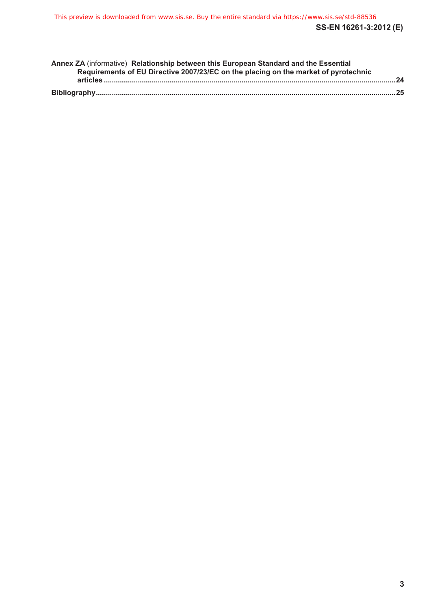| Annex ZA (informative) Relationship between this European Standard and the Essential |  |
|--------------------------------------------------------------------------------------|--|
| Requirements of EU Directive 2007/23/EC on the placing on the market of pyrotechnic  |  |
|                                                                                      |  |
|                                                                                      |  |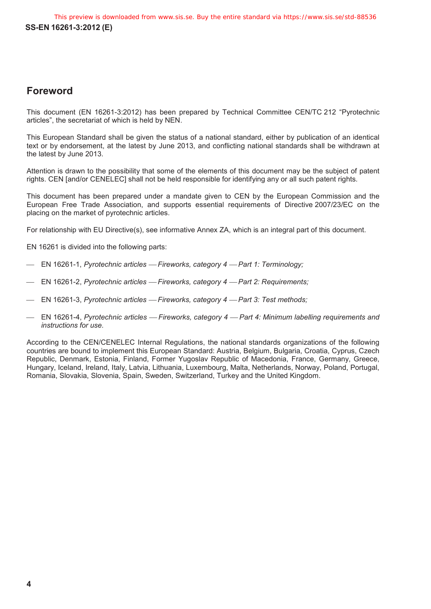## **Foreword**

This document (EN 16261-3:2012) has been prepared by Technical Committee CEN/TC 212 "Pyrotechnic articles", the secretariat of which is held by NEN.

This European Standard shall be given the status of a national standard, either by publication of an identical text or by endorsement, at the latest by June 2013, and conflicting national standards shall be withdrawn at the latest by June 2013.

Attention is drawn to the possibility that some of the elements of this document may be the subject of patent rights. CEN [and/or CENELEC] shall not be held responsible for identifying any or all such patent rights.

This document has been prepared under a mandate given to CEN by the European Commission and the European Free Trade Association, and supports essential requirements of Directive 2007/23/EC on the placing on the market of pyrotechnic articles.

For relationship with EU Directive(s), see informative Annex ZA, which is an integral part of this document.

EN 16261 is divided into the following parts:

- EN 16261-1, *Pyrotechnic articles Fireworks, category 4 Part 1: Terminology;*
- EN 16261-2, *Pyrotechnic articles Fireworks, category 4 Part 2: Requirements;*
- EN 16261-3, *Pyrotechnic articles Fireworks, category 4 Part 3: Test methods;*
- EN 16261-4, *Pyrotechnic articles Fireworks, category 4 Part 4: Minimum labelling requirements and instructions for use.*

According to the CEN/CENELEC Internal Regulations, the national standards organizations of the following countries are bound to implement this European Standard: Austria, Belgium, Bulgaria, Croatia, Cyprus, Czech Republic, Denmark, Estonia, Finland, Former Yugoslav Republic of Macedonia, France, Germany, Greece, Hungary, Iceland, Ireland, Italy, Latvia, Lithuania, Luxembourg, Malta, Netherlands, Norway, Poland, Portugal, Romania, Slovakia, Slovenia, Spain, Sweden, Switzerland, Turkey and the United Kingdom.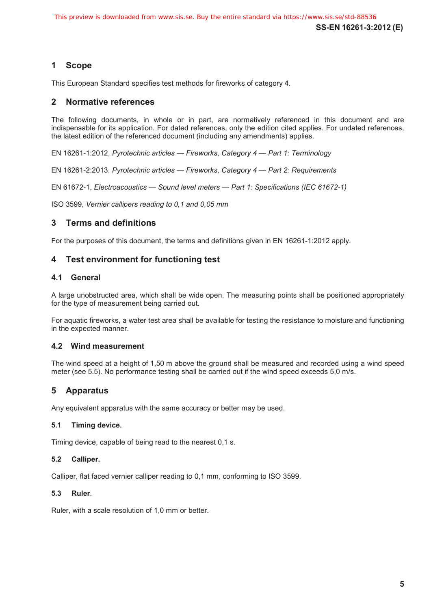## **1 Scope**

This European Standard specifies test methods for fireworks of category 4.

## **2 Normative references**

The following documents, in whole or in part, are normatively referenced in this document and are indispensable for its application. For dated references, only the edition cited applies. For undated references, the latest edition of the referenced document (including any amendments) applies.

EN 16261-1:2012, *Pyrotechnic articles — Fireworks, Category 4 — Part 1: Terminology*

EN 16261-2:2013, *Pyrotechnic articles — Fireworks, Category 4 — Part 2: Requirements*

EN 61672-1, *Electroacoustics — Sound level meters — Part 1: Specifications (IEC 61672-1)*

ISO 3599, *Vernier callipers reading to 0,1 and 0,05 mm*

## **3 Terms and definitions**

For the purposes of this document, the terms and definitions given in EN 16261-1:2012 apply.

## **4 Test environment for functioning test**

## **4.1 General**

A large unobstructed area, which shall be wide open. The measuring points shall be positioned appropriately for the type of measurement being carried out.

For aquatic fireworks, a water test area shall be available for testing the resistance to moisture and functioning in the expected manner.

## **4.2 Wind measurement**

The wind speed at a height of 1,50 m above the ground shall be measured and recorded using a wind speed meter (see 5.5). No performance testing shall be carried out if the wind speed exceeds 5,0 m/s.

## **5 Apparatus**

Any equivalent apparatus with the same accuracy or better may be used.

## **5.1 Timing device.**

Timing device, capable of being read to the nearest 0,1 s.

## **5.2 Calliper.**

Calliper, flat faced vernier calliper reading to 0,1 mm, conforming to ISO 3599.

## **5.3 Ruler**.

Ruler, with a scale resolution of 1,0 mm or better.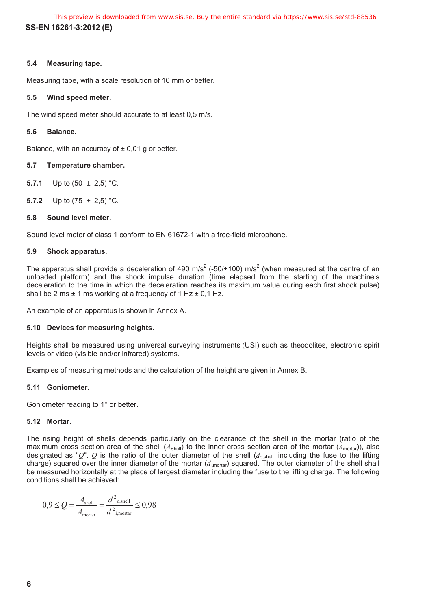**EN 16261-3:2012 (E) SS-EN 16261-3:2012 (E)** This preview is downloaded from www.sis.se. Buy the entire standard via https://www.sis.se/std-88536

### **5.4 Measuring tape.**

Measuring tape, with a scale resolution of 10 mm or better.

#### **5.5 Wind speed meter.**

The wind speed meter should accurate to at least 0,5 m/s.

#### **5.6 Balance.**

Balance, with an accuracy of  $\pm$  0,01 g or better.

### **5.7 Temperature chamber.**

**5.7.1** Up to  $(50 \pm 2.5)$  °C.

**5.7.2** Up to  $(75 \pm 2.5)$  °C.

#### **5.8 Sound level meter.**

Sound level meter of class 1 conform to EN 61672-1 with a free-field microphone.

### **5.9 Shock apparatus.**

The apparatus shall provide a deceleration of 490 m/s<sup>2</sup> (-50/+100) m/s<sup>2</sup> (when measured at the centre of an unloaded platform) and the shock impulse duration (time elapsed from the starting of the machine's deceleration to the time in which the deceleration reaches its maximum value during each first shock pulse) shall be 2 ms  $\pm$  1 ms working at a frequency of 1 Hz  $\pm$  0,1 Hz.

An example of an apparatus is shown in Annex A.

#### **5.10 Devices for measuring heights.**

Heights shall be measured using universal surveying instruments (USI) such as theodolites, electronic spirit levels or video (visible and/or infrared) systems.

Examples of measuring methods and the calculation of the height are given in Annex B.

### **5.11 Goniometer.**

Goniometer reading to 1° or better.

### **5.12 Mortar.**

The rising height of shells depends particularly on the clearance of the shell in the mortar (ratio of the maximum cross section area of the shell  $(A_{\text{Shell}})$  to the inner cross section area of the mortar  $(A_{\text{mottarl}})$ , also designated as " $Q$ ".  $Q$  is the ratio of the outer diameter of the shell ( $d_{o,shell}$ , including the fuse to the lifting charge) squared over the inner diameter of the mortar ( $d_{i, \text{motor}}$ ) squared. The outer diameter of the shell shall be measured horizontally at the place of largest diameter including the fuse to the lifting charge. The following conditions shall be achieved:

$$
0.9 \le Q = \frac{A_{\text{shell}}}{A_{\text{mortar}}} = \frac{d^2_{\text{o,shell}}}{d^2_{\text{i,mortar}}} \le 0.98
$$